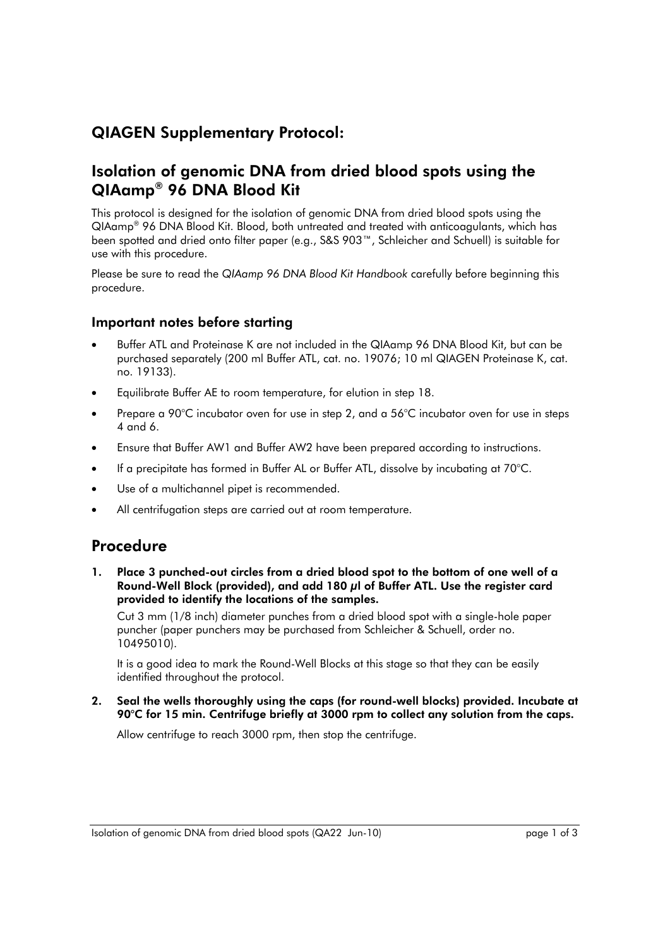# QIAGEN Supplementary Protocol:

## Isolation of genomic DNA from dried blood spots using the QIAamp® 96 DNA Blood Kit

This protocol is designed for the isolation of genomic DNA from dried blood spots using the QIAamp® 96 DNA Blood Kit. Blood, both untreated and treated with anticoagulants, which has been spotted and dried onto filter paper (e.g., S&S 903™, Schleicher and Schuell) is suitable for use with this procedure.

Please be sure to read the *QIAamp 96 DNA Blood Kit Handbook* carefully before beginning this procedure.

### Important notes before starting

- Buffer ATL and Proteinase K are not included in the QIAamp 96 DNA Blood Kit, but can be purchased separately (200 ml Buffer ATL, cat. no. 19076; 10 ml QIAGEN Proteinase K, cat. no. 19133).
- Equilibrate Buffer AE to room temperature, for elution in step 18.
- Prepare a 90°C incubator oven for use in step 2, and a 56°C incubator oven for use in steps 4 and 6.
- Ensure that Buffer AW1 and Buffer AW2 have been prepared according to instructions.
- If a precipitate has formed in Buffer AL or Buffer ATL, dissolve by incubating at 70°C.
- Use of a multichannel pipet is recommended.
- All centrifugation steps are carried out at room temperature.

## Procedure

Place 3 punched-out circles from a dried blood spot to the bottom of one well of a Round-Well Block (provided), and add 180 μl of Buffer ATL. Use the register card provided to identify the locations of the samples.

Cut 3 mm (1/8 inch) diameter punches from a dried blood spot with a single-hole paper puncher (paper punchers may be purchased from Schleicher & Schuell, order no. 10495010).

It is a good idea to mark the Round-Well Blocks at this stage so that they can be easily identified throughout the protocol.

2. Seal the wells thoroughly using the caps (for round-well blocks) provided. Incubate at 90°C for 15 min. Centrifuge briefly at 3000 rpm to collect any solution from the caps.

Allow centrifuge to reach 3000 rpm, then stop the centrifuge.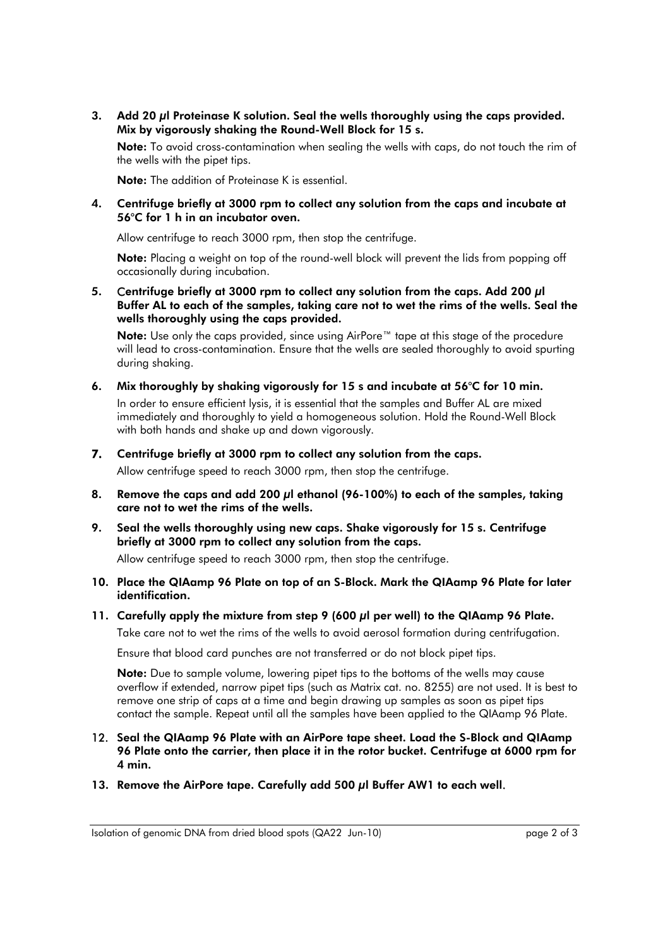3. Add 20 µl Proteinase K solution. Seal the wells thoroughly using the caps provided. Mix by vigorously shaking the Round-Well Block for 15 s.

Note: To avoid cross-contamination when sealing the wells with caps, do not touch the rim of the wells with the pipet tips.

Note: The addition of Proteinase K is essential.

4. Centrifuge briefly at 3000 rpm to collect any solution from the caps and incubate at 56°C for 1 h in an incubator oven.

Allow centrifuge to reach 3000 rpm, then stop the centrifuge.

Note: Placing a weight on top of the round-well block will prevent the lids from popping off occasionally during incubation.

5. Centrifuge briefly at 3000 rpm to collect any solution from the caps. Add 200 μl Buffer AL to each of the samples, taking care not to wet the rims of the wells. Seal the wells thoroughly using the caps provided.

Note: Use only the caps provided, since using AirPore™ tape at this stage of the procedure will lead to cross-contamination. Ensure that the wells are sealed thoroughly to avoid spurting during shaking.

6. Mix thoroughly by shaking vigorously for 15 s and incubate at 56°C for 10 min.

In order to ensure efficient lysis, it is essential that the samples and Buffer AL are mixed immediately and thoroughly to yield a homogeneous solution. Hold the Round-Well Block with both hands and shake up and down vigorously.

- 7. Centrifuge briefly at 3000 rpm to collect any solution from the caps. Allow centrifuge speed to reach 3000 rpm, then stop the centrifuge.
- 8. Remove the caps and add 200 µl ethanol (96-100%) to each of the samples, taking care not to wet the rims of the wells.
- 9. Seal the wells thoroughly using new caps. Shake vigorously for 15 s. Centrifuge briefly at 3000 rpm to collect any solution from the caps.

Allow centrifuge speed to reach 3000 rpm, then stop the centrifuge.

- 10. Place the QIAamp 96 Plate on top of an S-Block. Mark the QIAamp 96 Plate for later identification.
- 11. Carefully apply the mixture from step 9 (600 *u*l per well) to the QIAamp 96 Plate. Take care not to wet the rims of the wells to avoid aerosol formation during centrifugation.

Ensure that blood card punches are not transferred or do not block pipet tips.

Note: Due to sample volume, lowering pipet tips to the bottoms of the wells may cause overflow if extended, narrow pipet tips (such as Matrix cat. no. 8255) are not used. It is best to remove one strip of caps at a time and begin drawing up samples as soon as pipet tips contact the sample. Repeat until all the samples have been applied to the QIAamp 96 Plate.

- 12. Seal the QIAamp 96 Plate with an AirPore tape sheet. Load the S-Block and QIAamp 96 Plate onto the carrier, then place it in the rotor bucket. Centrifuge at 6000 rpm for 4 min.
- 13. Remove the AirPore tape. Carefully add 500 μl Buffer AW1 to each well.